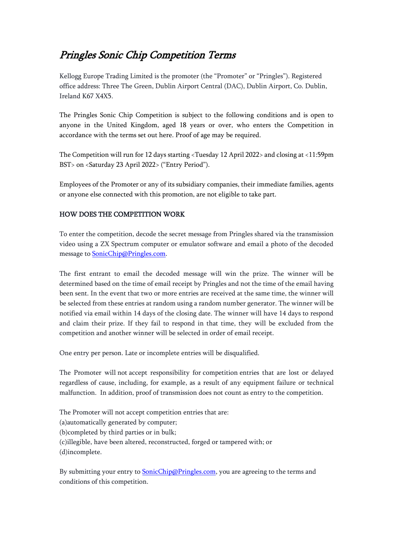## Pringles Sonic Chip Competition Terms

Kellogg Europe Trading Limited is the promoter (the "Promoter" or "Pringles"). Registered office address: Three The Green, Dublin Airport Central (DAC), Dublin Airport, Co. Dublin, Ireland K67 X4X5.

The Pringles Sonic Chip Competition is subject to the following conditions and is open to anyone in the United Kingdom, aged 18 years or over, who enters the Competition in accordance with the terms set out here. Proof of age may be required.

The Competition will run for 12 days starting <Tuesday 12 April 2022> and closing at <11:59pm BST> on <Saturday 23 April 2022> ("Entry Period").

Employees of the Promoter or any of its subsidiary companies, their immediate families, agents or anyone else connected with this promotion, are not eligible to take part.

## HOW DOES THE COMPETITION WORK

To enter the competition, decode the secret message from Pringles shared via the transmission video using a ZX Spectrum computer or emulator software and email a photo of the decoded message to **SonicChip@Pringles.com**.

The first entrant to email the decoded message will win the prize. The winner will be determined based on the time of email receipt by Pringles and not the time of the email having been sent. In the event that two or more entries are received at the same time, the winner will be selected from these entries at random using a random number generator. The winner will be notified via email within 14 days of the closing date. The winner will have 14 days to respond and claim their prize. If they fail to respond in that time, they will be excluded from the competition and another winner will be selected in order of email receipt.

One entry per person. Late or incomplete entries will be disqualified.

The Promoter will not accept responsibility for competition entries that are lost or delayed regardless of cause, including, for example, as a result of any equipment failure or technical malfunction. In addition, proof of transmission does not count as entry to the competition.

The Promoter will not accept competition entries that are: (a)automatically generated by computer; (b)completed by third parties or in bulk; (c)illegible, have been altered, reconstructed, forged or tampered with; or (d)incomplete.

By submitting your entry to **SonicChip@Pringles.com**, you are agreeing to the terms and conditions of this competition.